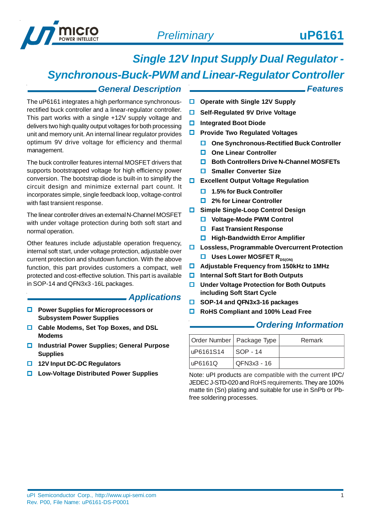

*Features*

# *Single 12V Input Supply Dual Regulator -*

*Synchronous-Buck-PWM and Linear-Regulator Controller*

### *General Description*

The uP6161 integrates a high performance synchronousrectified buck controller and a linear-regulator controller. This part works with a single +12V supply voltage and delivers two high quality output voltages for both processing unit and memory unit. An internal linear regulator provides optimum 9V drive voltage for efficiency and thermal management.

The buck controller features internal MOSFET drivers that supports bootstrapped voltage for high efficiency power conversion. The bootstrap diode is built-in to simplify the circuit design and minimize external part count. It incorporates simple, single feedback loop, voltage-control with fast transient response.

The linear controller drives an external N-Channel MOSFET with under voltage protection during both soft start and normal operation.

Other features include adjustable operation frequency, internal soft start, under voltage protection, adjustable over current protection and shutdown function. With the above function, this part provides customers a compact, well protected and cost-effective solution. This part is available in SOP-14 and QFN3x3 -16L packages.

### *Applications*

- **Power Supplies for Microprocessors or Subsystem Power Supplies**
- **Cable Modems, Set Top Boxes, and DSL Modems**
- **Industrial Power Supplies; General Purpose Supplies**
- **12V Input DC-DC Regulators**
- **Low-Voltage Distributed Power Supplies**
- **Operate with Single 12V Supply**
- **Self-Regulated 9V Drive Voltage**
- **Integrated Boot Diode**
- **Provide Two Regulated Voltages** 
	- **One Synchronous-Rectified Buck Controller**
	- **One Linear Controller**
	- **Both Controllers Drive N-Channel MOSFETs**
	- $\square$  Smaller Converter Size
- **Excellent Output Voltage Regulation** 
	- **1.5% for Buck Controller**
	- **2% for Linear Controller**
- **Simple Single-Loop Control Design**
	- **Voltage-Mode PWM Control**
	- **Fast Transient Response**
	- **High-Bandwidth Error Amplifier**
- **Lossless, Programmable Overcurrent Protection**
	- **USES LOWER MOSFET RDS(ON)**
- **Adjustable Frequency from 150kHz to 1MHz**
- **Internal Soft Start for Both Outputs**
- **Under Voltage Protection for Both Outputs including Soft Start Cycle**
- **SOP-14 and QFN3x3-16 packages**
- **RoHS Compliant and 100% Lead Free**

### *Ordering Information*

| Order Number   Package Type |                      | Remark |
|-----------------------------|----------------------|--------|
| uP6161S14                   | SOP - 14             |        |
| uP6161Q                     | $\sqrt{QFN3x3 - 16}$ |        |

Note: uPI products are compatible with the current IPC/ JEDEC J-STD-020 and RoHS requirements. They are 100% matte tin (Sn) plating and suitable for use in SnPb or Pbfree soldering processes.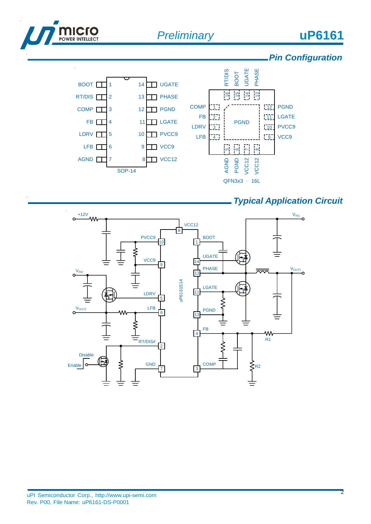

#### QFN3x3 – 16L

### *Typical Application Circuit*

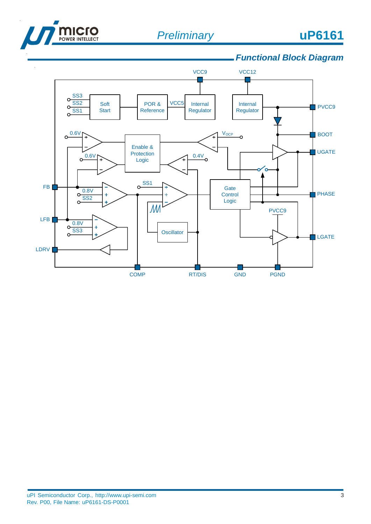

# *Functional Block Diagram*

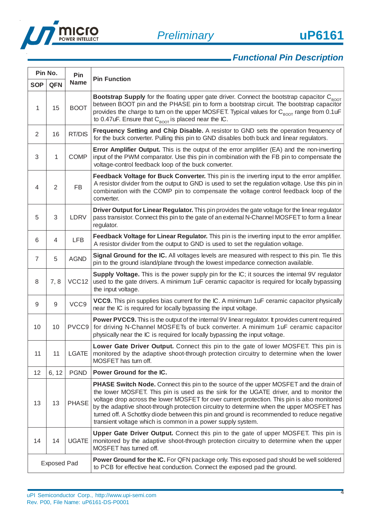

# *Functional Pin Description*

| Pin No.<br>Pin     |                |              |                                                                                                                                                                                                                                                                                                                                                                                                                                                                                                                                             |  |  |  |  |
|--------------------|----------------|--------------|---------------------------------------------------------------------------------------------------------------------------------------------------------------------------------------------------------------------------------------------------------------------------------------------------------------------------------------------------------------------------------------------------------------------------------------------------------------------------------------------------------------------------------------------|--|--|--|--|
| <b>SOP</b>         | <b>QFN</b>     | <b>Name</b>  | <b>Pin Function</b>                                                                                                                                                                                                                                                                                                                                                                                                                                                                                                                         |  |  |  |  |
| 1                  | 15             | <b>BOOT</b>  | Bootstrap Supply for the floating upper gate driver. Connect the bootstrap capacitor C <sub>BOOT</sub><br>between BOOT pin and the PHASE pin to form a bootstrap circuit. The bootstrap capacitor<br>provides the charge to turn on the upper MOSFET. Typical values for C <sub>ROOT</sub> range from 0.1uF<br>to 0.47uF. Ensure that $C_{\text{ROT}}$ is placed near the IC.                                                                                                                                                               |  |  |  |  |
| $\overline{2}$     | 16             | RT/DIS       | Frequency Setting and Chip Disable. A resistor to GND sets the operation frequency of<br>for the buck converter. Pulling this pin to GND disables both buck and linear regulators.                                                                                                                                                                                                                                                                                                                                                          |  |  |  |  |
| 3                  | 1              | <b>COMP</b>  | <b>Error Amplifier Output.</b> This is the output of the error amplifier (EA) and the non-inverting<br>input of the PWM comparator. Use this pin in combination with the FB pin to compensate the<br>voltage-control feedback loop of the buck converter.                                                                                                                                                                                                                                                                                   |  |  |  |  |
| 4                  | $\overline{2}$ | FB           | Feedback Voltage for Buck Converter. This pin is the inverting input to the error amplifier.<br>A resistor divider from the output to GND is used to set the regulation voltage. Use this pin in<br>combination with the COMP pin to compensate the voltage control feedback loop of the<br>converter.                                                                                                                                                                                                                                      |  |  |  |  |
| 5                  | 3              | LDRV         | Driver Output for Linear Regulator. This pin provides the gate voltage for the linear regulator<br>pass transistor. Connect this pin to the gate of an external N-Channel MOSFET to form a linear<br>regulator.                                                                                                                                                                                                                                                                                                                             |  |  |  |  |
| 6                  | 4              | <b>LFB</b>   | Feedback Voltage for Linear Regulator. This pin is the inverting input to the error amplifier.<br>A resistor divider from the output to GND is used to set the regulation voltage.                                                                                                                                                                                                                                                                                                                                                          |  |  |  |  |
| $\overline{7}$     | 5              | <b>AGND</b>  | Signal Ground for the IC. All voltages levels are measured with respect to this pin. Tie this<br>pin to the ground island/plane through the lowest impedance connection available.                                                                                                                                                                                                                                                                                                                                                          |  |  |  |  |
| 8                  | 7,8            | VCC12        | Supply Voltage. This is the power supply pin for the IC; it sources the internal 9V regulator<br>used to the gate drivers. A minimum 1uF ceramic capacitor is required for locally bypassing<br>the input voltage.                                                                                                                                                                                                                                                                                                                          |  |  |  |  |
| 9                  | 9              | VCC9         | VCC9. This pin supplies bias current for the IC. A minimum 1uF ceramic capacitor physically<br>near the IC is required for locally bypassing the input voltage.                                                                                                                                                                                                                                                                                                                                                                             |  |  |  |  |
| 10                 | 10             | PVCC9        | <b>Power PVCC9.</b> This is the output of the internal 9V linear regulator. It provides current required<br>for driving N-Channel MOSFETs of buck converter. A minimum 1uF ceramic capacitor<br>physically near the IC is required for locally bypassing the input voltage.                                                                                                                                                                                                                                                                 |  |  |  |  |
| 11                 | 11             | <b>LGATE</b> | Lower Gate Driver Output. Connect this pin to the gate of lower MOSFET. This pin is<br>monitored by the adaptive shoot-through protection circuitry to determine when the lower<br>MOSFET has turn off.                                                                                                                                                                                                                                                                                                                                     |  |  |  |  |
| 12                 | 6, 12          | <b>PGND</b>  | Power Ground for the IC.                                                                                                                                                                                                                                                                                                                                                                                                                                                                                                                    |  |  |  |  |
| 13                 | 13             | <b>PHASE</b> | PHASE Switch Node. Connect this pin to the source of the upper MOSFET and the drain of<br>the lower MOSFET. This pin is used as the sink for the UGATE driver, and to monitor the<br>voltage drop across the lower MOSFET for over current protection. This pin is also monitored<br>by the adaptive shoot-through protection circuitry to determine when the upper MOSFET has<br>turned off. A Schottky diode between this pin and ground is recommended to reduce negative<br>transient voltage which is common in a power supply system. |  |  |  |  |
| 14                 | 14             | <b>UGATE</b> | <b>Upper Gate Driver Output.</b> Connect this pin to the gate of upper MOSFET. This pin is<br>monitored by the adaptive shoot-through protection circuitry to determine when the upper<br>MOSFET has turned off.                                                                                                                                                                                                                                                                                                                            |  |  |  |  |
| <b>Exposed Pad</b> |                |              | Power Ground for the IC. For QFN package only. This exposed pad should be well soldered<br>to PCB for effective heat conduction. Connect the exposed pad the ground.                                                                                                                                                                                                                                                                                                                                                                        |  |  |  |  |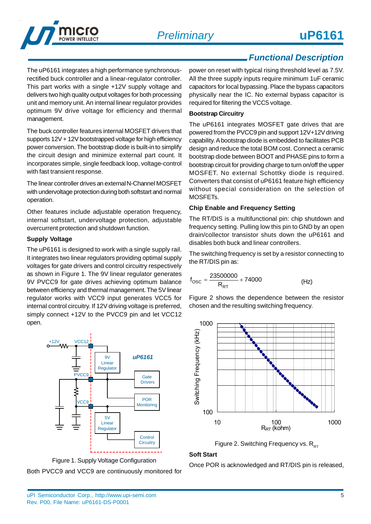

# *Functional Description*

The uP6161 integrates a high performance synchronousrectified buck controller and a linear-regulator controller. This part works with a single +12V supply voltage and delivers two high quality output voltages for both processing unit and memory unit. An internal linear regulator provides optimum 9V drive voltage for efficiency and thermal management.

The buck controller features internal MOSFET drivers that supports 12V + 12V bootstrapped voltage for high efficiency power conversion. The bootstrap diode is built-in to simplify the circuit design and minimize external part count. It incorporates simple, single feedback loop, voltage-control with fast transient response.

The linear controller drives an external N-Channel MOSFET with undervoltage protection during both softstart and normal operation.

Other features include adjustable operation frequency, internal softstart, undervoltage protection, adjustable overcurrent protection and shutdown function.

#### **Supply Voltage**

The uP6161 is designed to work with a single supply rail. It integrates two linear regulators providing optimal supply voltages for gate drivers and control circuitry respectively as shown in Figure 1. The 9V linear regulator generates 9V PVCC9 for gate drives achieving optimum balance between efficiency and thermal management. The 5V linear regulator works with VCC9 input generates VCC5 for internal control circuitry. If 12V driving voltage is preferred, simply connect +12V to the PVCC9 pin and let VCC12 open.



Figure 1. Supply Voltage Configuration

Both PVCC9 and VCC9 are continuously monitored for

power on reset with typical rising threshold level as 7.5V. All the three supply inputs require minimum 1uF ceramic capacitors for local bypassing. Place the bypass capacitors physically near the IC. No external bypass capacitor is required for filtering the VCC5 voltage.

### **Bootstrap Circuitry**

The uP6161 integrates MOSFET gate drives that are powered from the PVCC9 pin and support 12V+12V driving capability. A bootstrap diode is embedded to facilitates PCB design and reduce the total BOM cost. Connect a ceramic bootstrap diode between BOOT and PHASE pins to form a bootstrap circuit for providing charge to turn on/off the upper MOSFET. No external Schottky diode is required. Converters that consist of uP6161 feature high efficiency without special consideration on the selection of MOSFETs.

#### **Chip Enable and Frequency Setting**

The RT/DIS is a multifunctional pin: chip shutdown and frequency setting. Pulling low this pin to GND by an open drain/collector transistor shuts down the uP6161 and disables both buck and linear controllers.

The switching frequency is set by a resistor connecting to the RT/DIS pin as:

$$
f_{\text{OSC}} = \frac{23500000}{R_{\text{RT}}} + 74000
$$
 (Hz)

Figure 2 shows the dependence between the resistor chosen and the resulting switching frequency.



Figure 2. Switching Frequency vs.  $R_{RT}$ 

#### **Soft Start**

Once POR is acknowledged and RT/DIS pin is released,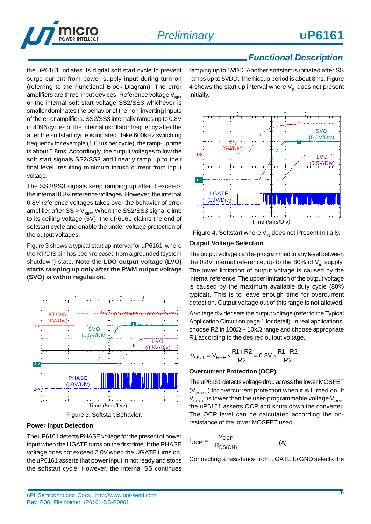

### *Functional Description*

the uP6161 initiates its digital soft start cycle to prevent surge current from power supply input during turn on (referring to the Functional Block Diagram). The error amplifiers are three-input devices. Reference voltage  $V_{BEF}$ or the internal soft start voltage SS2/SS3 whichever is smaller dominates the behavior of the non-inverting inputs of the error amplifiers. SS2/SS3 internally ramps up to 0.8V in 4096 cycles of the internal oscillator frequency after the after the softstart cycle is initiated. Take 600kHz switching frequency for example (1.67us per cycle), the ramp-up time is about 6.8ms. Accordingly, the output voltages follow the soft start signals SS2/SS3 and linearly ramp up to their final level, resulting minimum inrush current from input voltage.

The SS2/SS3 signals keep ramping up after it exceeds the internal 0.8V reference voltages. However, the internal 0.8V reference voltages takes over the behavior of error amplifier after  $SS > V_{REF}$ . When the SS2/SS3 signal climb to its ceiling voltage (5V), the uP6161 claims the end of softstart cycle and enable the under voltage protection of the output voltages.

Figure 3 shows a typical start up interval for uP6161 where the RT/DIS pin has been released from a grounded (system shutdown) state. **Note the LDO output voltage (LVO) starts ramping up only after the PWM output voltage (SVO) is within regulation.**



Figure 3. Softstart Behavior.

#### **Power Input Detection**

The uP6161 detects PHASE voltage for the present of power input when the UGATE turns on the first time. If the PHASE voltage does not exceed 2.0V when the UGATE turns on, the uP6161 asserts that power input in not ready and stops the softstart cycle. However, the internal SS continues

ramping up to 5VDD. Another softstart is initiated after SS ramps up to 5VDD. The hiccup period is about 8ms. Figure 4 shows the start up interval where  $V_{\text{IN}}$  does not present initially.



Figure 4. Softstart where  $V_{\text{IN}}$  does not Present Initially.

### **Output Voltage Selection**

The output voltage can be programmed to any level between the 0.8V internal reference, up to the 80% of  $V_{\text{in}}$  supply. The lower limitation of output voltage is caused by the internal reference. The upper limitation of the output voltage is caused by the maximum available duty cycle (80% typical). This is to leave enough time for overcurrent detection. Output voltage out of this range is not allowed.

A voltage divider sets the output voltage (refer to the Typical Application Circuit on page 1 for detail). In real applications, choose R2 in 100 $\Omega$  ~ 10k $\Omega$  range and choose appropriate R1 according to the desired output voltage.

$$
V_{OUT} = V_{REF} \times \frac{R1 + R2}{R2} = 0.8V \times \frac{R1 + R2}{R2}
$$

#### **Overcurrent Protection (OCP)**

The uP6161 detects voltage drop across the lower MOSFET  $(V_{\text{pHase}})$  for overcurrent protection when it is turned on. If  $V_{\text{pHASE}}$  is lower than the user-programmable voltage  $V_{\text{OCP}}$ , the uP6161 asserts OCP and shuts down the converter. The OCP level can be calculated according the onresistance of the lower MOSFET used.

$$
I_{OCP} = -\frac{V_{OCP}}{R_{DS(ON)}}
$$
 (A)

Connecting a resistance from LGATE to GND selects the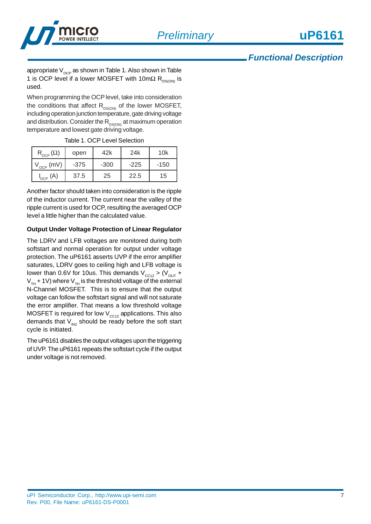

### *Functional Description*

appropriate  $V_{OCP}$  as shown in Table 1. Also shown in Table 1 is OCP level if a lower MOSFET with 10m $\Omega$  R<sub>DS(ON)</sub> is used.

When programming the OCP level, take into consideration the conditions that affect  $R_{DS(ON)}$  of the lower MOSFET, including operation junction temperature, gate driving voltage and distribution. Consider the  $R_{DS(ON)}$  at maximum operation temperature and lowest gate driving voltage.

Table 1. OCP Level Selection

| $\mathsf{R}_{\text{OCP}}(\Omega)$ | open   | 42k | 24k    | 10k    |
|-----------------------------------|--------|-----|--------|--------|
| (mV)<br>$V_{OCP}$                 | $-375$ |     | $-225$ | $-150$ |
| $I_{\text{OCP}}(A)$               | 37.5   | 25  | 22.5   | 15     |

Another factor should taken into consideration is the ripple of the inductor current. The current near the valley of the ripple current is used for OCP, resulting the averaged OCP level a little higher than the calculated value.

#### **Output Under Voltage Protection of Linear Regulator**

The LDRV and LFB voltages are monitored during both softstart and normal operation for output under voltage protection. The uP6161 asserts UVP if the error amplifier saturates, LDRV goes to ceiling high and LFB voltage is lower than 0.6V for 10us. This demands  $V_{CC12}$  > ( $V_{OUT}$  +  $V_{TH}$  + 1V) where  $V_{TH}$  is the threshold voltage of the external N-Channel MOSFET. This is to ensure that the output voltage can follow the softstart signal and will not saturate the error amplifier. That means a low threshold voltage MOSFET is required for low  $V_{cc12}$  applications. This also demands that  $V_{\text{IN2}}$  should be ready before the soft start cycle is initiated.

The uP6161 disables the output voltages upon the triggering of UVP. The uP6161 repeats the softstart cycle if the output under voltage is not removed.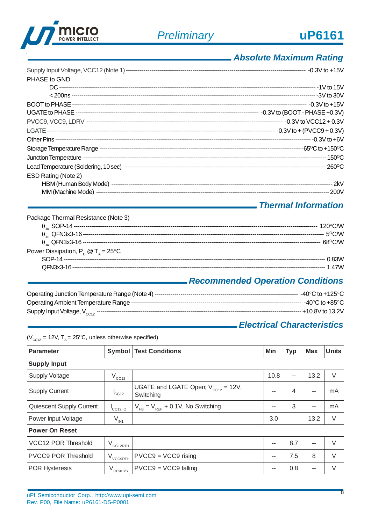

# *Absolute Maximum Rating*

| PHASE to GND        |  |
|---------------------|--|
|                     |  |
|                     |  |
|                     |  |
|                     |  |
|                     |  |
|                     |  |
|                     |  |
|                     |  |
|                     |  |
|                     |  |
| ESD Rating (Note 2) |  |
|                     |  |
|                     |  |

## *Thermal Information*

| Package Thermal Resistance (Note 3)         |          |
|---------------------------------------------|----------|
|                                             |          |
|                                             |          |
|                                             |          |
| Power Dissipation, $P_p @ T_A = 25^\circ C$ |          |
|                                             |          |
|                                             | $-1.47M$ |

# *Recommended Operation Conditions*

# *Electrical Characteristics*

| Parameter                  |                                          | <b>Symbol   Test Conditions</b>                       | Min  | <b>Typ</b> | <b>Max</b> | <b>Units</b> |  |
|----------------------------|------------------------------------------|-------------------------------------------------------|------|------------|------------|--------------|--|
| <b>Supply Input</b>        |                                          |                                                       |      |            |            |              |  |
| <b>Supply Voltage</b>      | $V_{CC12}$                               |                                                       | 10.8 | --         | 13.2       | V            |  |
| <b>Supply Current</b>      | ${}^{\text{I}}$ CC <sub>12</sub>         | UGATE and LGATE Open; $V_{cc12} = 12V$ ,<br>Switching | --   | 4          | $-$        | mA           |  |
| Quiescent Supply Current   | $I_{\text{CC12}\_\text{Q}}$              | $V_{FB} = V_{REF} + 0.1V$ , No Switching              | --   | 3          | $\sim$     | mA           |  |
| Power Input Voltage        | $V_{\text{IN1}}$                         |                                                       | 3.0  |            | 13.2       | V            |  |
| <b>Power On Reset</b>      |                                          |                                                       |      |            |            |              |  |
| VCC12 POR Threshold        | $V_{\text{CC12RTH}}$                     |                                                       |      | 8.7        | $\sim$     | $\vee$       |  |
| <b>PVCC9 POR Threshold</b> | $\rm V_{\rm \scriptscriptstyle VCC9RTH}$ | $ PVCC9 = VCC9$ rising                                | --   | 7.5        | 8          | $\vee$       |  |
| <b>POR Hysteresis</b>      | $V_{CCHYS}$                              | $PVCC9 = VCC9$ falling                                | --   | 0.8        | $- -$      | V            |  |

( $V_{cc12}$  = 12V, T<sub>A</sub> = 25<sup>o</sup>C, unless otherwise specified)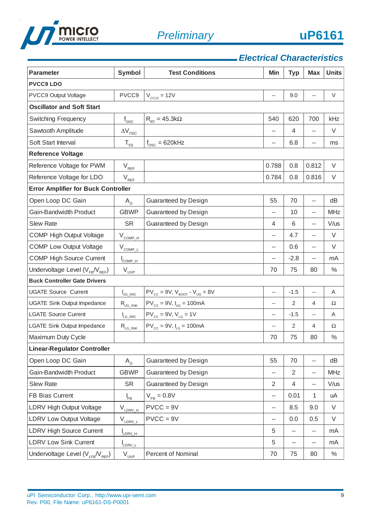

# *Electrical Characteristics*

| <b>Parameter</b>                           | <b>Symbol</b>                                                                              | <b>Test Conditions</b>                                         | Min                      | <b>Typ</b>     | <b>Max</b>               | <b>Units</b> |  |  |
|--------------------------------------------|--------------------------------------------------------------------------------------------|----------------------------------------------------------------|--------------------------|----------------|--------------------------|--------------|--|--|
| <b>PVCC9 LDO</b>                           |                                                                                            |                                                                |                          |                |                          |              |  |  |
| PVCC9 Output Voltage                       | PVCC9                                                                                      | $V_{CCl2} = 12V$                                               | $\overline{\phantom{a}}$ | 9.0            | $\overline{\phantom{a}}$ | V            |  |  |
| <b>Oscillator and Soft Start</b>           |                                                                                            |                                                                |                          |                |                          |              |  |  |
| <b>Switching Frequency</b>                 | $f_{\rm osc}$                                                                              | $R_{RT} = 45.3 k\Omega$                                        | 540                      | 620            | 700                      | kHz          |  |  |
| Sawtooth Amplitude                         | $\Delta \rm {V}_{\rm osc}$                                                                 |                                                                |                          | $\overline{4}$ | --                       | V            |  |  |
| Soft Start Interval                        | $\mathsf{T}_{\underline{\text{ss}}}$                                                       | $f_{\rm osc} = 620$ kHz                                        | --                       | 6.8            | --                       | ms           |  |  |
| <b>Reference Voltage</b>                   |                                                                                            |                                                                |                          |                |                          |              |  |  |
| Reference Voltage for PWM                  | $\mathsf{V}_{\mathsf{REF}}$                                                                |                                                                | 0.788                    | 0.8            | 0.812                    | V            |  |  |
| Reference Voltage for LDO                  | $\mathsf{V}_{\underbrace{\mathsf{REF}}}% \mathsf{P}_{\mathsf{H}}^{\mathsf{H}}(\mathsf{H})$ |                                                                | 0.784                    | 0.8            | 0.816                    | $\vee$       |  |  |
| <b>Error Amplifier for Buck Controller</b> |                                                                                            |                                                                |                          |                |                          |              |  |  |
| Open Loop DC Gain                          | $A_{\rm o}$                                                                                | Guaranteed by Design                                           | 55                       | 70             | $\overline{\phantom{a}}$ | dB           |  |  |
| <b>Gain-Bandwidth Product</b>              | <b>GBWP</b>                                                                                | Guaranteed by Design                                           | --                       | 10             | --                       | <b>MHz</b>   |  |  |
| <b>Slew Rate</b>                           | <b>SR</b>                                                                                  | Guaranteed by Design                                           | 4                        | 6              | --                       | $V/$ us      |  |  |
| <b>COMP High Output Voltage</b>            | $V_{COMP-H}$                                                                               |                                                                | $\overline{a}$           | 4.7            | $\overline{a}$           | $\vee$       |  |  |
| <b>COMP Low Output Voltage</b>             | $V_{COMPL}$                                                                                |                                                                | --                       | 0.6            | --                       | V            |  |  |
| <b>COMP High Source Current</b>            | $I_{COMP\_H}$                                                                              |                                                                |                          | $-2.8$         | --                       | mA           |  |  |
| Undervoltage Level ( $V_{FB}/V_{REF}$ )    | $V_{_{UVP}}$                                                                               |                                                                | 70                       | 75             | 80                       | $\%$         |  |  |
| <b>Buck Controller Gate Drivers</b>        |                                                                                            |                                                                |                          |                |                          |              |  |  |
| <b>UGATE Source Current</b>                | <b>I</b> UG_SRC                                                                            | $PV_{\text{cc}} = 9V$ , $V_{\text{BoOT}} - V_{\text{UG}} = 8V$ | $\overline{\phantom{a}}$ | $-1.5$         | $\overline{a}$           | Α            |  |  |
| <b>UGATE Sink Output Impedance</b>         | $\rm R_{\rm UG\_SNK}$                                                                      | $PV_{cc} = 9V$ , $I_{UG} = 100mA$                              | $\overline{a}$           | 2              | 4                        | Ω            |  |  |
| <b>LGATE Source Current</b>                | $I_{LG\_SRC}$                                                                              | $PV_{cc} = 9V$ , $V_{LG} = 1V$                                 | $\overline{\phantom{a}}$ | $-1.5$         | $\overline{\phantom{a}}$ | Α            |  |  |
| <b>LGATE Sink Output Impedance</b>         | $\mathsf{R}_{\text{LG\_SNK}}$                                                              | $PV_{cc} = 9V$ , $I_{LG} = 100mA$                              | $\overline{\phantom{a}}$ | 2              | 4                        | Ω            |  |  |
| Maximum Duty Cycle                         |                                                                                            |                                                                | 70                       | 75             | 80                       | $\%$         |  |  |
| <b>Linear-Regulator Controller</b>         |                                                                                            |                                                                |                          |                |                          |              |  |  |
| Open Loop DC Gain                          | $A_{\Omega}$                                                                               | Guaranteed by Design                                           | 55                       | 70             | --                       | dB           |  |  |
| <b>Gain-Bandwidth Product</b>              | <b>GBWP</b>                                                                                | Guaranteed by Design                                           | --                       | $\overline{2}$ | --                       | <b>MHz</b>   |  |  |
| <b>Slew Rate</b>                           | <b>SR</b>                                                                                  | Guaranteed by Design                                           | $\overline{2}$           | $\overline{4}$ | --                       | $V/$ us      |  |  |
| FB Bias Current                            | $I_{FB}$                                                                                   | $V_{FB} = 0.8V$                                                | $\overline{\phantom{a}}$ | 0.01           | 1                        | uA           |  |  |
| LDRV High Output Voltage                   | $V_{LDRV\_H}$                                                                              | $PVCC = 9V$                                                    | --                       | 8.5            | 9.0                      | $\vee$       |  |  |
| <b>LDRV Low Output Voltage</b>             | $V_{LDRV_L}$                                                                               | $PVCC = 9V$                                                    | --                       | 0.0            | 0.5                      | V            |  |  |
| LDRV High Source Current                   | LDRV_H                                                                                     |                                                                | 5                        | --             | --                       | mA           |  |  |
| <b>LDRV Low Sink Current</b>               | LDRV_L                                                                                     |                                                                | 5                        | --             | --                       | mA           |  |  |
| Undervoltage Level ( $V_{LFB} / V_{REF}$ ) | $V_{_{UVP}}$                                                                               | Percent of Nominal                                             | 70                       | 75             | 80                       | $\%$         |  |  |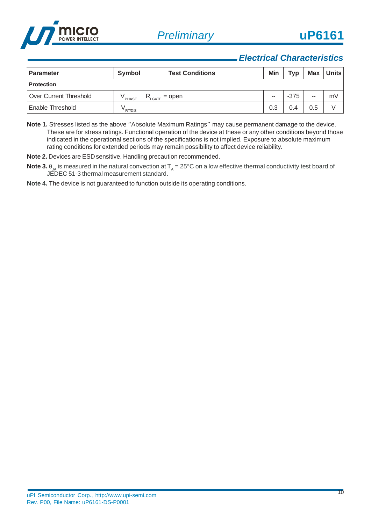

### *Electrical Characteristics*

| Parameter                | Symbol             | <b>Test Conditions</b> | Min   | Typ    | <b>Max</b> | <b>Units</b> |
|--------------------------|--------------------|------------------------|-------|--------|------------|--------------|
| <b>Protection</b>        |                    |                        |       |        |            |              |
| l Over Current Threshold | <sup>v</sup> PHASE | $=$ open<br>LGATE      | $- -$ | $-375$ | $- -$      | mV           |
| Enable Threshold         | RT/DIS             |                        | 0.3   | 0.4    | 0.5        |              |

**Note 1.** Stresses listed as the above "Absolute Maximum Ratings" may cause permanent damage to the device. These are for stress ratings. Functional operation of the device at these or any other conditions beyond those indicated in the operational sections of the specifications is not implied. Exposure to absolute maximum rating conditions for extended periods may remain possibility to affect device reliability.

**Note 2.** Devices are ESD sensitive. Handling precaution recommended.

 $\bf{Note 3.}$   $\theta_{\rm JA}$  is measured in the natural convection at  $\sf T_{\rm A}$  = 25°C on a low effective thermal conductivity test board of JEDEC 51-3 thermal measurement standard.

**Note 4.** The device is not guaranteed to function outside its operating conditions.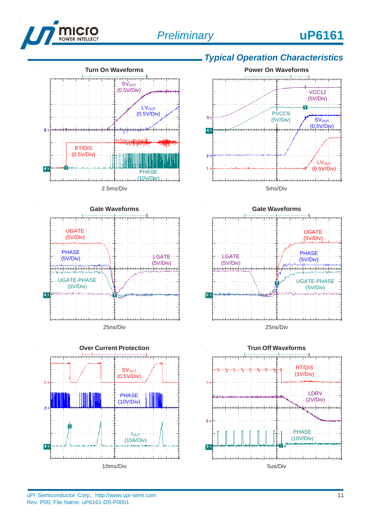





# *Typical Operation Characteristics*







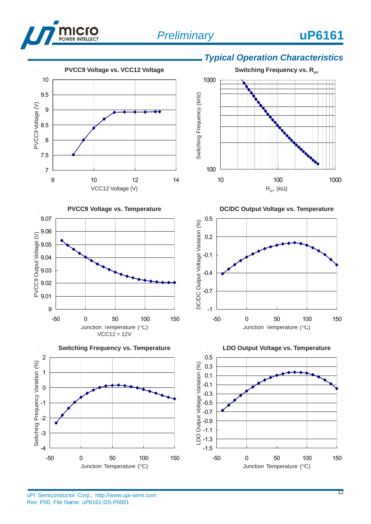









# *Typical Operation Characteristics*









 $\overline{a}$ 

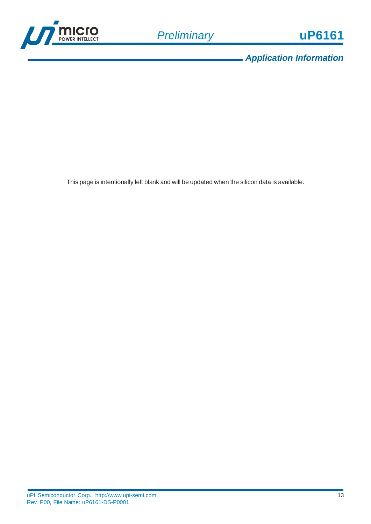

*Application Information*

This page is intentionally left blank and will be updated when the silicon data is available.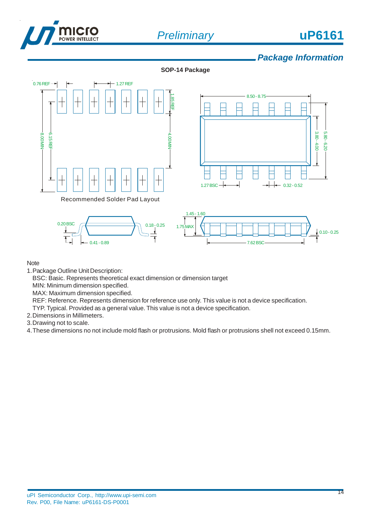



### *Package Information*

**SOP-14 Package**





 $1.45 - 1.60$  $0.18 - 0.25$ 1.75 MAX  $0.10 - 0.25$  $\overline{1}$ 7.62 BSC

Note

- 1.Package Outline Unit Description:
	- BSC: Basic. Represents theoretical exact dimension or dimension target
	- MIN: Minimum dimension specified.

 $0.41 - 0.89$ 

- MAX: Maximum dimension specified.
- REF: Reference. Represents dimension for reference use only. This value is not a device specification.
- TYP. Typical. Provided as a general value. This value is not a device specification.
- 2.Dimensions in Millimeters.

0.20 BSC

- 3.Drawing not to scale.
- 4.These dimensions no not include mold flash or protrusions. Mold flash or protrusions shell not exceed 0.15mm.